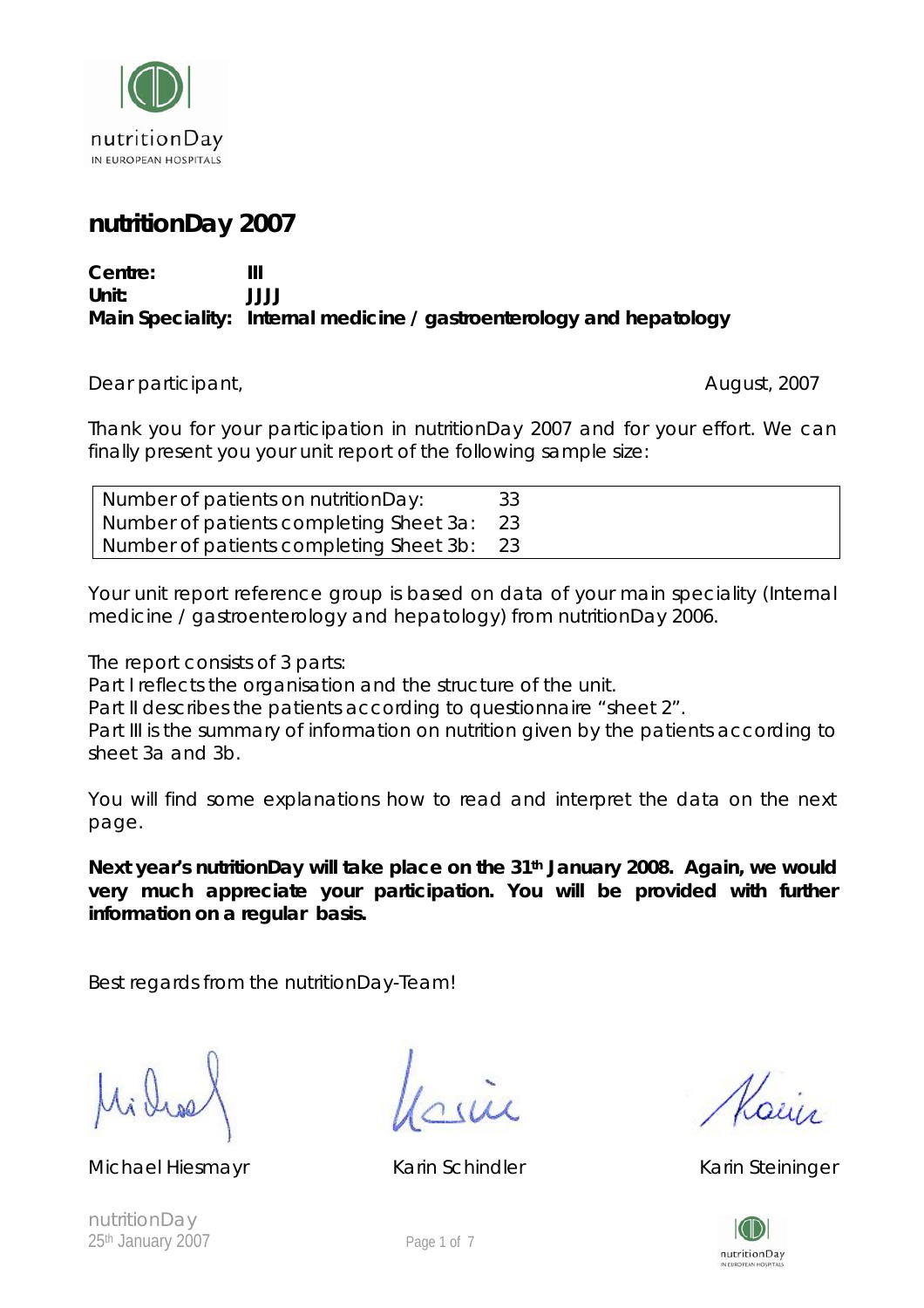

# **nutritionDay 2007**

#### **Centre: III Unit: JJJJ Main Speciality: Internal medicine / gastroenterology and hepatology**

Dear participant, and the contract of the contract of the contract of the contract of the contract of the contract of the contract of the contract of the contract of the contract of the contract of the contract of the cont

Thank you for your participation in nutritionDay 2007 and for your effort. We can finally present you your unit report of the following sample size:

| Number of patients on nutritionDay:     |  |
|-----------------------------------------|--|
| Number of patients completing Sheet 3a: |  |
| Number of patients completing Sheet 3b: |  |

Your unit report reference group is based on data of your main speciality (Internal medicine / gastroenterology and hepatology) from nutritionDay 2006.

The report consists of 3 parts:

Part I reflects the organisation and the structure of the unit.

Part II describes the patients according to questionnaire "sheet 2".

Part III is the summary of information on nutrition given by the patients according to sheet 3a and 3b.

You will find some explanations how to read and interpret the data on the next page.

Next year's nutritionDay will take place on the 31<sup>th</sup> January 2008. Again, we would **very much appreciate your participation. You will be provided with further information on a regular basis.** 

Best regards from the nutritionDay-Team!

í

Michael Hiesmayr **Karin Schindler** Karin Schindler Karin Steininger

 $\n *l*$ 



nutritionDay 25<sup>th</sup> January 2007 **Page 1 of 7**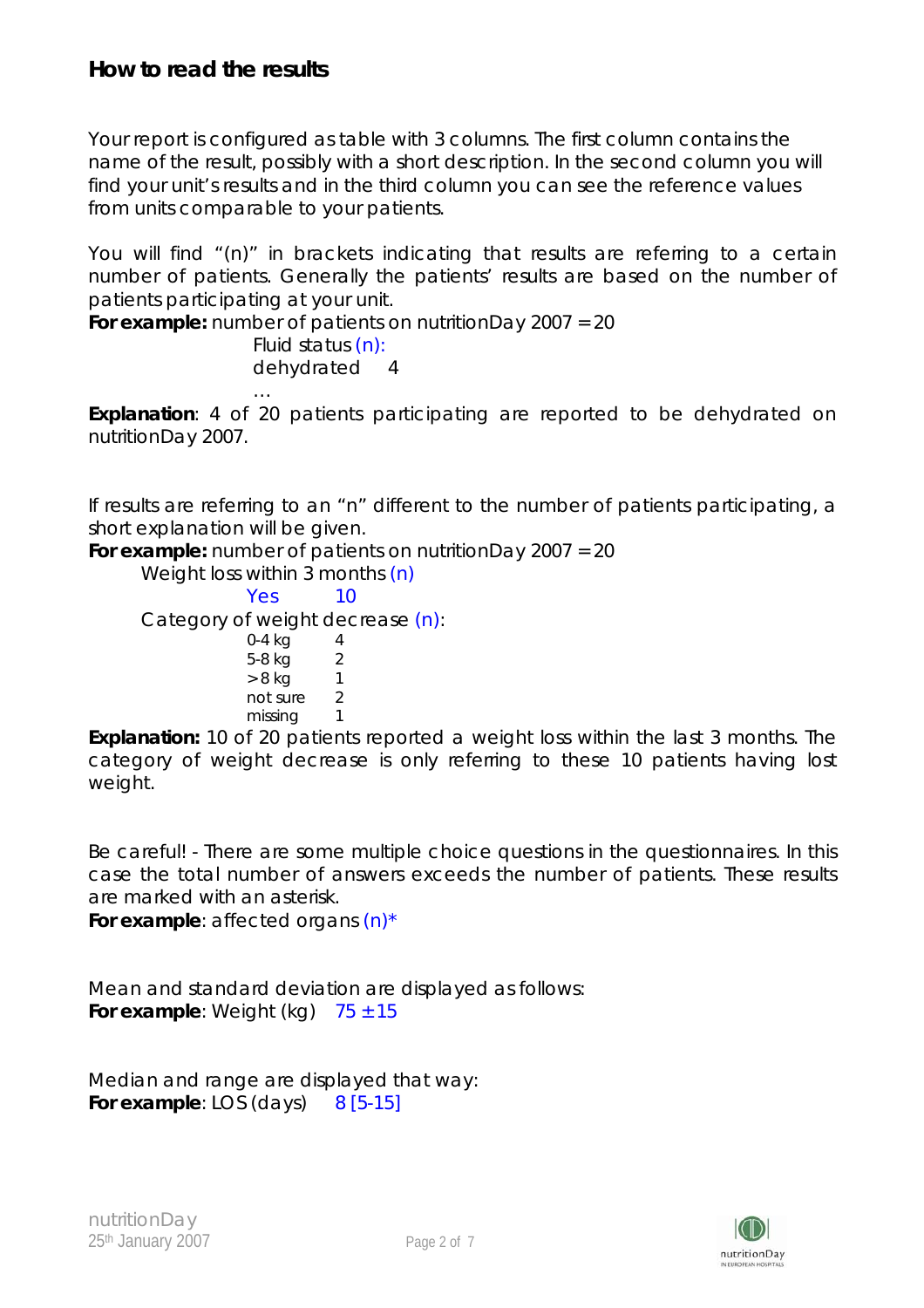Your report is configured as table with 3 columns. The first column contains the name of the result, possibly with a short description. In the second column you will find your unit's results and in the third column you can see the reference values from units comparable to your patients.

You will find "(n)" in brackets indicating that results are referring to a certain number of patients. Generally the patients' results are based on the number of patients participating at your unit.

**For example:** *number of patients on nutritionDay 2007 = 20 Fluid status (n): dehydrated 4* 

**Explanation**: 4 of 20 patients participating are reported to be dehydrated on nutritionDay 2007.

If results are referring to an "n" different to the number of patients participating, a short explanation will be given.

**For example:** *number of patients on nutritionDay 2007 = 20* 

Weight loss within 3 months (n) Yes 10 Category of weight decrease (n): 0-4 kg 4 5-8 kg 2  $> 8$  kg 1 not sure 2 missing 1

*…* 

**Explanation:** 10 of 20 patients reported a weight loss within the last 3 months. The category of weight decrease is only referring to these 10 patients having lost weight.

Be careful! - There are some multiple choice questions in the questionnaires. In this case the total number of answers exceeds the number of patients. These results are marked with an asterisk.

**For example**: affected organs (n)\*

Mean and standard deviation are displayed as follows: **For example:** Weight (kg)  $75 \pm 15$ 

Median and range are displayed that way: **For example**: LOS (days) 8 [5-15]

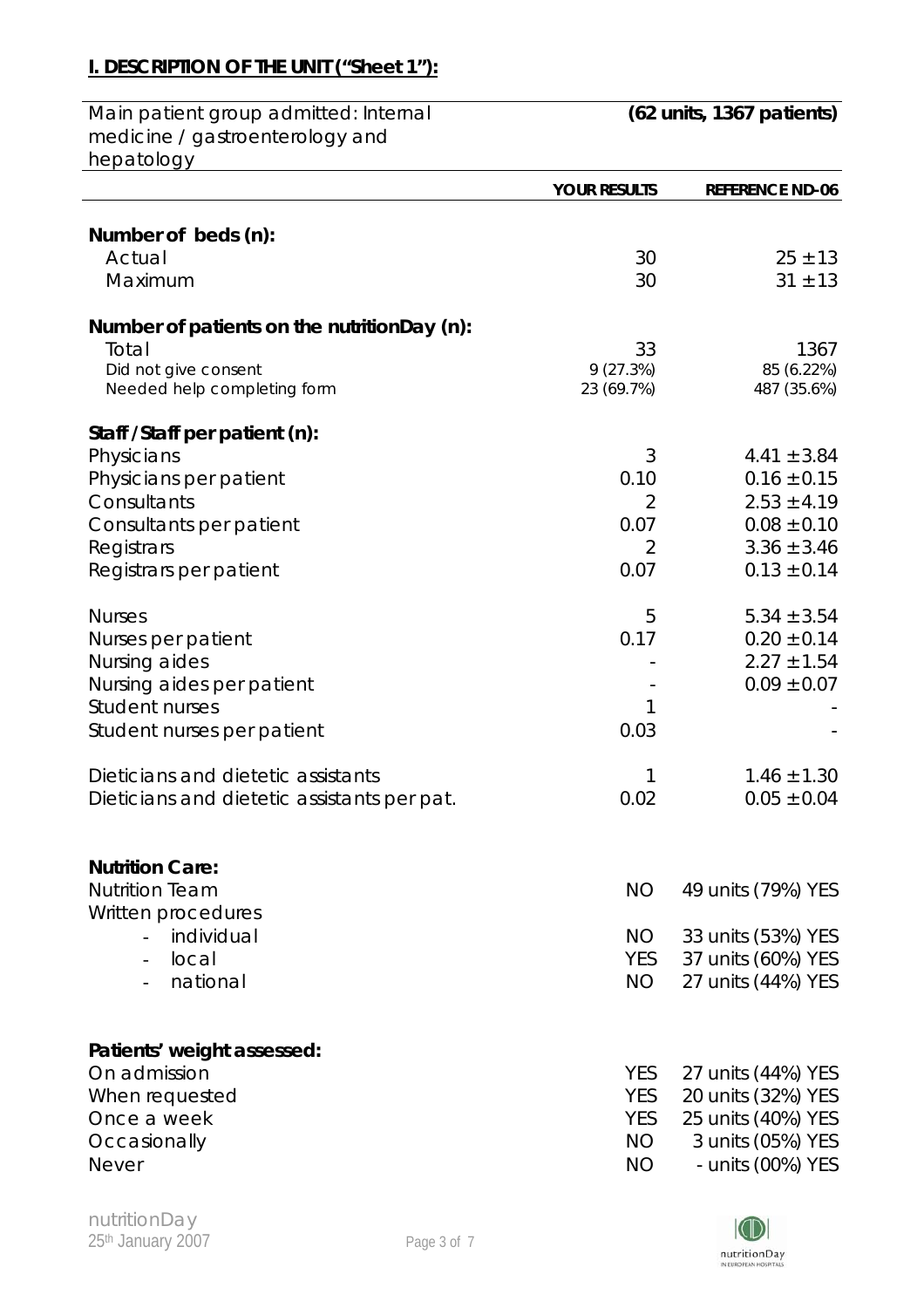# **I. DESCRIPTION OF THE UNIT ("Sheet 1"):**

| Main patient group admitted: Internal       | (62 units, 1367 patients) |                        |
|---------------------------------------------|---------------------------|------------------------|
| medicine / gastroenterology and             |                           |                        |
| hepatology                                  |                           |                        |
|                                             | <b>YOUR RESULTS</b>       | <b>REFERENCE ND-06</b> |
|                                             |                           |                        |
| Number of beds (n):                         |                           |                        |
| Actual                                      | 30                        | $25 \pm 13$            |
| Maximum                                     | 30                        | $31 \pm 13$            |
| Number of patients on the nutritionDay (n): |                           |                        |
| Total                                       | 33                        | 1367                   |
| Did not give consent                        | 9(27.3%)                  | 85 (6.22%)             |
| Needed help completing form                 | 23 (69.7%)                | 487 (35.6%)            |
| Staff / Staff per patient (n):              |                           |                        |
| Physicians                                  | 3                         | $4.41 \pm 3.84$        |
| Physicians per patient                      | 0.10                      | $0.16 \pm 0.15$        |
| Consultants                                 | 2                         | $2.53 \pm 4.19$        |
| Consultants per patient                     | 0.07                      | $0.08 \pm 0.10$        |
| Registrars                                  | 2                         | $3.36 \pm 3.46$        |
| Registrars per patient                      | 0.07                      | $0.13 \pm 0.14$        |
|                                             |                           |                        |
| <b>Nurses</b>                               | 5                         | $5.34 \pm 3.54$        |
| Nurses per patient                          | 0.17                      | $0.20 \pm 0.14$        |
| Nursing aides                               |                           | $2.27 \pm 1.54$        |
| Nursing aides per patient                   |                           | $0.09 \pm 0.07$        |
| <b>Student nurses</b>                       | 1                         |                        |
| Student nurses per patient                  | 0.03                      |                        |
| Dieticians and dietetic assistants          | 1                         | $1.46 \pm 1.30$        |
| Dieticians and dietetic assistants per pat. | 0.02                      | $0.05 \pm 0.04$        |
|                                             |                           |                        |
| <b>Nutrition Care:</b>                      |                           |                        |
| <b>Nutrition Team</b>                       | <b>NO</b>                 | 49 units (79%) YES     |
| Written procedures                          |                           |                        |
| individual                                  | NO.                       | 33 units (53%) YES     |
| local                                       | <b>YES</b>                | 37 units (60%) YES     |
| national                                    | NO.                       | 27 units (44%) YES     |
|                                             |                           |                        |
| Patients' weight assessed:                  |                           |                        |
| On admission                                | <b>YES</b>                | 27 units (44%) YES     |
| When requested                              | <b>YES</b>                | 20 units (32%) YES     |
| Once a week                                 | <b>YES</b>                | 25 units (40%) YES     |
| Occasionally                                | NO.                       | 3 units (05%) YES      |
| <b>Never</b>                                | <b>NO</b>                 | - units (00%) YES      |
|                                             |                           |                        |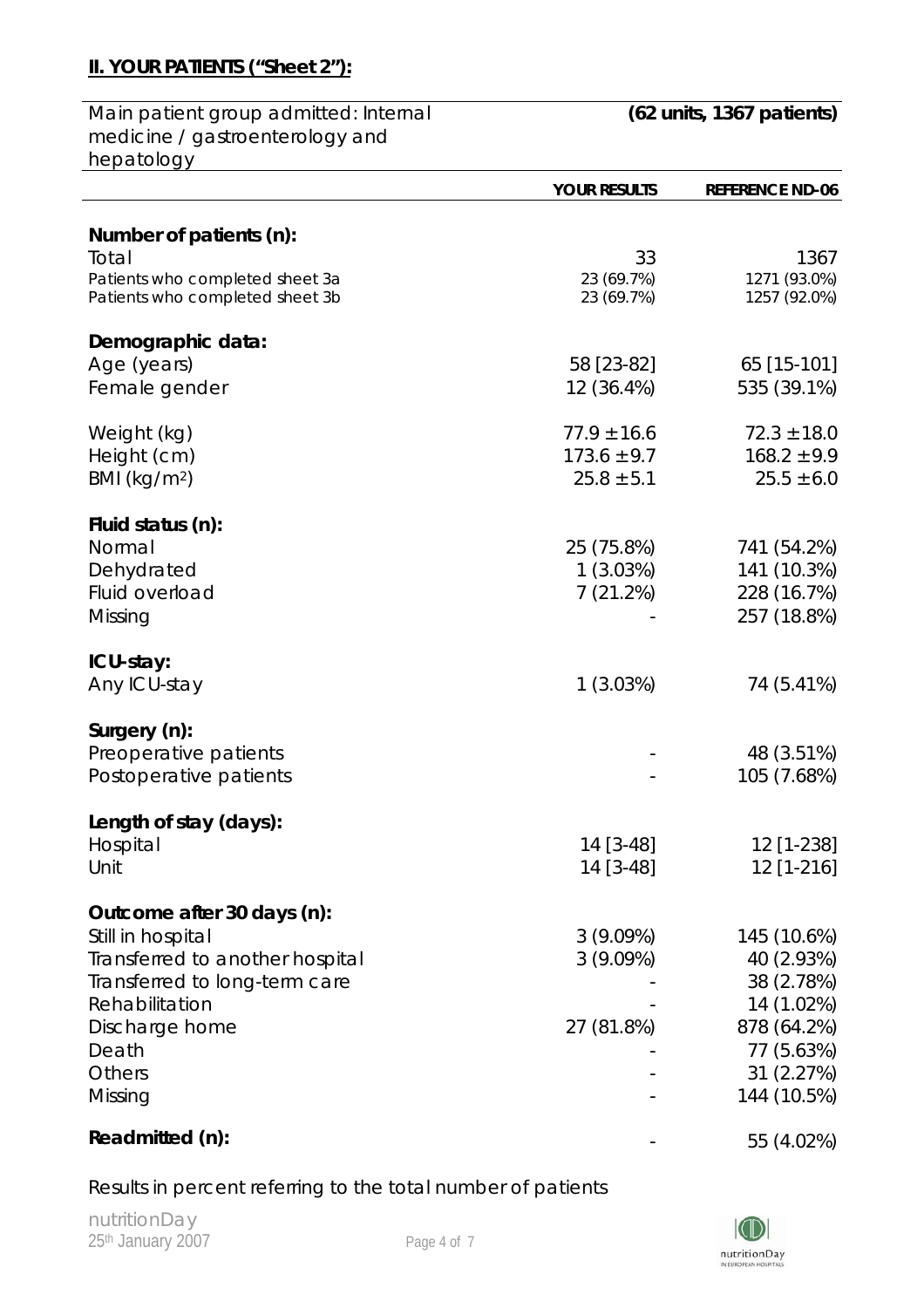### **II. YOUR PATIENTS ("Sheet 2"):**

Main patient group admitted: Internal medicine / gastroenterology and hepatology

|                                 | <b>YOUR RESULTS</b> | <b>REFERENCE ND-06</b> |
|---------------------------------|---------------------|------------------------|
| Number of patients (n):         |                     |                        |
| Total                           | 33                  | 1367                   |
| Patients who completed sheet 3a | 23 (69.7%)          | 1271 (93.0%)           |
| Patients who completed sheet 3b | 23 (69.7%)          | 1257 (92.0%)           |
| Demographic data:               |                     |                        |
| Age (years)                     | 58 [23-82]          | 65 [15-101]            |
| Female gender                   | 12 (36.4%)          | 535 (39.1%)            |
|                                 |                     |                        |
| Weight (kg)                     | $77.9 \pm 16.6$     | $72.3 \pm 18.0$        |
| Height (cm)                     | $173.6 \pm 9.7$     | $168.2 \pm 9.9$        |
| BMI ( $kg/m2$ )                 | $25.8 \pm 5.1$      | $25.5 \pm 6.0$         |
| Fluid status (n):               |                     |                        |
| Normal                          | 25 (75.8%)          | 741 (54.2%)            |
| Dehydrated                      | 1(3.03%)            | 141 (10.3%)            |
| Fluid overload                  | 7(21.2%)            | 228 (16.7%)            |
| Missing                         |                     | 257 (18.8%)            |
|                                 |                     |                        |
| ICU-stay:                       |                     |                        |
| Any ICU-stay                    | 1(3.03%)            | 74 (5.41%)             |
| Surgery (n):                    |                     |                        |
| Preoperative patients           |                     | 48 (3.51%)             |
| Postoperative patients          |                     | 105 (7.68%)            |
|                                 |                     |                        |
| Length of stay (days):          |                     |                        |
| Hospital                        | 14 [3-48]           | 12 [1-238]             |
| Unit                            | 14 [3-48]           | 12 [1-216]             |
| Outcome after 30 days (n):      |                     |                        |
| Still in hospital               | 3(9.09%)            | 145 (10.6%)            |
| Transferred to another hospital | 3(9.09%)            | 40 (2.93%)             |
| Transferred to long-term care   |                     | 38 (2.78%)             |
| Rehabilitation                  |                     | 14 (1.02%)             |
| Discharge home                  | 27 (81.8%)          | 878 (64.2%)            |
| Death                           |                     | 77 (5.63%)             |
| Others                          |                     | 31 (2.27%)             |
| Missing                         |                     | 144 (10.5%)            |
| Readmitted (n):                 |                     | 55 (4.02%)             |

Results in percent referring to the total number of patients

nutritionDay 25<sup>th</sup> January 2007 **Page 4 of 7** 

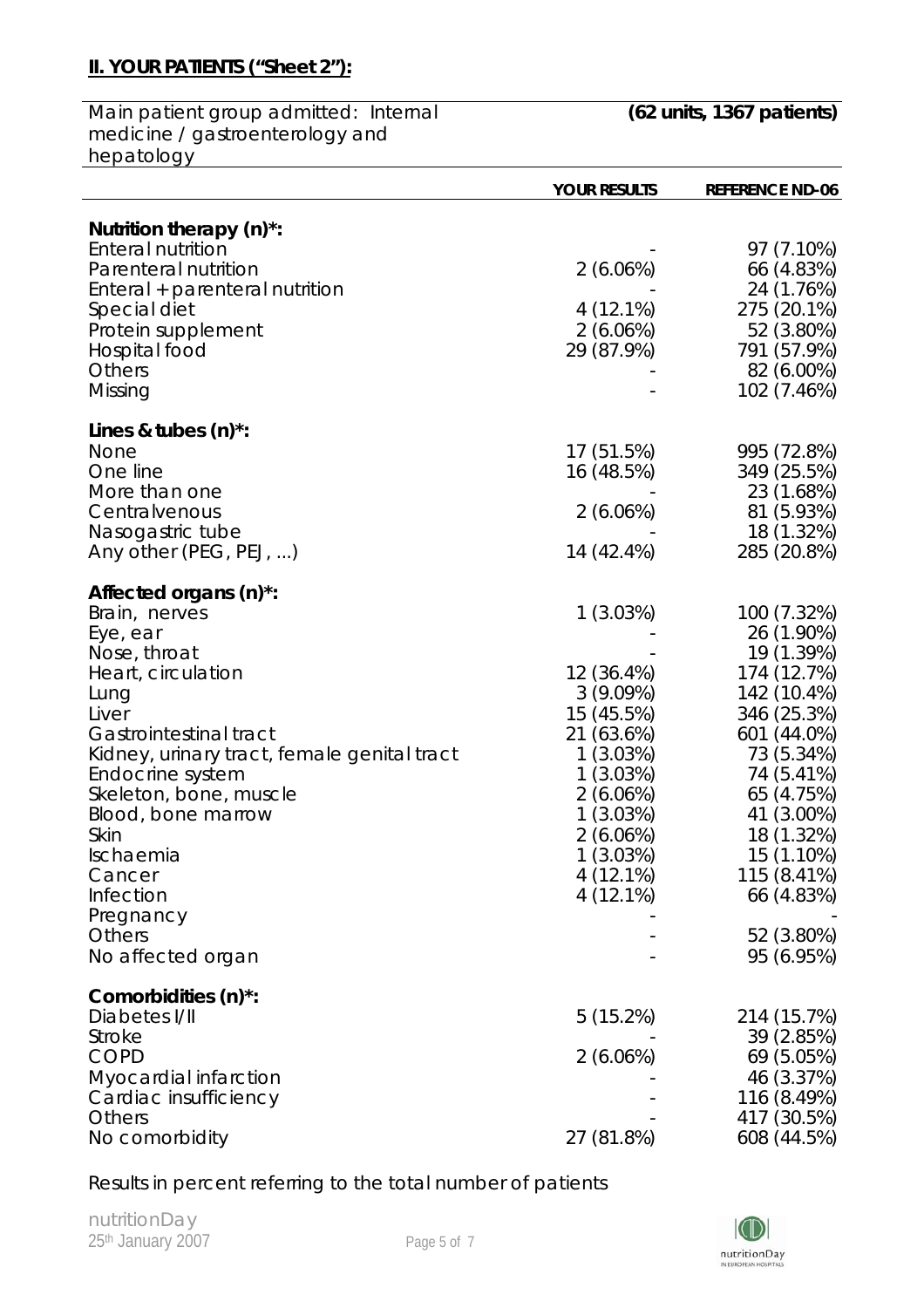### **II. YOUR PATIENTS ("Sheet 2"):**

Main patient group admitted: Internal medicine / gastroenterology and hepatology

|                                             | <b>YOUR RESULTS</b> | <b>REFERENCE ND-06</b> |
|---------------------------------------------|---------------------|------------------------|
| Nutrition therapy (n)*:                     |                     |                        |
| <b>Enteral nutrition</b>                    |                     | 97 (7.10%)             |
| Parenteral nutrition                        | 2(6.06%)            | 66 (4.83%)             |
| Enteral + parenteral nutrition              |                     | 24 (1.76%)             |
| Special diet                                | $4(12.1\%)$         | 275 (20.1%)            |
| Protein supplement                          | 2(6.06%)            | 52 (3.80%)             |
| Hospital food                               | 29 (87.9%)          | 791 (57.9%)            |
| <b>Others</b>                               |                     | 82 (6.00%)             |
| Missing                                     |                     | 102 (7.46%)            |
| Lines & tubes (n)*:                         |                     |                        |
| None                                        | 17 (51.5%)          | 995 (72.8%)            |
| One line                                    | 16 (48.5%)          | 349 (25.5%)            |
| More than one                               |                     | 23 (1.68%)             |
| Centralvenous                               | 2(6.06%)            | 81 (5.93%)             |
| Nasogastric tube                            |                     | 18 (1.32%)             |
| Any other (PEG, PEJ, )                      | 14 (42.4%)          | 285 (20.8%)            |
| Affected organs (n) <sup>*</sup> :          |                     |                        |
| Brain, nerves                               | 1(3.03%)            | 100 (7.32%)            |
| Eye, ear                                    |                     | 26 (1.90%)             |
| Nose, throat                                |                     | 19 (1.39%)             |
| Heart, circulation                          | 12 (36.4%)          | 174 (12.7%)            |
| Lung                                        | 3(9.09%)            | 142 (10.4%)            |
| Liver                                       | 15 (45.5%)          | 346 (25.3%)            |
| Gastrointestinal tract                      | 21 (63.6%)          | 601 (44.0%)            |
| Kidney, urinary tract, female genital tract | 1(3.03%)            | 73 (5.34%)             |
| Endocrine system                            | 1(3.03%)            | 74 (5.41%)             |
| Skeleton, bone, muscle                      | 2(6.06%)            | 65 (4.75%)             |
| Blood, bone marrow                          | 1(3.03%)            | 41 (3.00%)             |
| Skin                                        | 2(6.06%)            | 18 (1.32%)             |
| Ischaemia                                   | 1(3.03%)            | 15 (1.10%)             |
| Cancer                                      | 4(12.1%)            | 115 (8.41%)            |
| Infection                                   | $4(12.1\%)$         | 66 (4.83%)             |
| Pregnancy                                   |                     |                        |
| Others                                      |                     | 52 (3.80%)             |
| No affected organ                           |                     | 95 (6.95%)             |
| Comorbidities (n)*:                         |                     |                        |
| Diabetes I/II                               | 5(15.2%)            | 214 (15.7%)            |
| <b>Stroke</b>                               |                     | 39 (2.85%)             |
| <b>COPD</b>                                 | 2(6.06%)            | 69 (5.05%)             |
| Myocardial infarction                       |                     | 46 (3.37%)             |
| Cardiac insufficiency                       |                     | 116 (8.49%)            |
| <b>Others</b>                               |                     | 417 (30.5%)            |
| No comorbidity                              | 27 (81.8%)          | 608 (44.5%)            |

Results in percent referring to the total number of patients

nutritionDay 25<sup>th</sup> January 2007 **Page 5 of 7** 

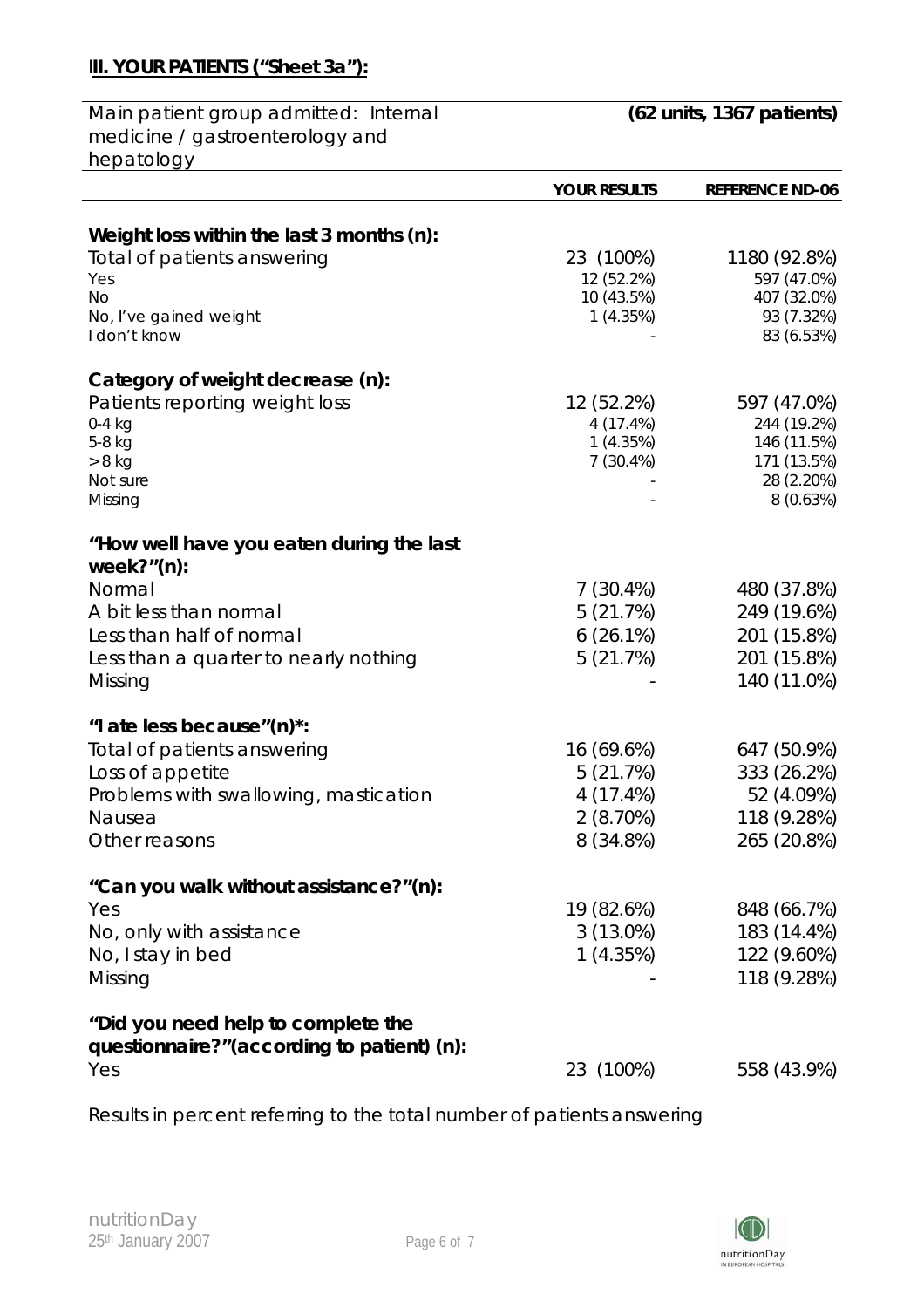# **III. YOUR PATIENTS ("Sheet 3a"):**

| Main patient group admitted: Internal      | $(62 \text{ units}, 1367 \text{ patients})$ |                        |
|--------------------------------------------|---------------------------------------------|------------------------|
| medicine / gastroenterology and            |                                             |                        |
| hepatology                                 |                                             |                        |
|                                            | <b>YOUR RESULTS</b>                         | <b>REFERENCE ND-06</b> |
|                                            |                                             |                        |
| Weight loss within the last 3 months (n):  |                                             |                        |
| Total of patients answering                | 23 (100%)                                   | 1180 (92.8%)           |
| Yes                                        | 12 (52.2%)                                  | 597 (47.0%)            |
| <b>No</b>                                  | 10 (43.5%)                                  | 407 (32.0%)            |
| No, I've gained weight                     | 1(4.35%)                                    | 93 (7.32%)             |
| I don't know                               |                                             | 83 (6.53%)             |
| Category of weight decrease (n):           |                                             |                        |
| Patients reporting weight loss             | 12 (52.2%)                                  | 597 (47.0%)            |
| $0-4$ kg                                   | 4(17.4%)                                    | 244 (19.2%)            |
| 5-8 kg                                     | 1(4.35%)                                    | 146 (11.5%)            |
| $> 8$ kg                                   | 7(30.4%)                                    | 171 (13.5%)            |
| Not sure                                   |                                             | 28 (2.20%)             |
| Missing                                    |                                             | 8(0.63%)               |
| "How well have you eaten during the last   |                                             |                        |
| week? $"$ (n):                             |                                             |                        |
| Normal                                     | $7(30.4\%)$                                 | 480 (37.8%)            |
| A bit less than normal                     | 5(21.7%)                                    | 249 (19.6%)            |
| Less than half of normal                   | $6(26.1\%)$                                 | 201 (15.8%)            |
| Less than a quarter to nearly nothing      | 5(21.7%)                                    | 201 (15.8%)            |
| Missing                                    |                                             | 140 (11.0%)            |
|                                            |                                             |                        |
| "I ate less because"(n)*:                  |                                             |                        |
| Total of patients answering                | 16 (69.6%)                                  | 647 (50.9%)            |
| Loss of appetite                           | 5(21.7%)                                    | 333 (26.2%)            |
| Problems with swallowing, mastication      | 4 (17.4%)                                   | 52 (4.09%)             |
| Nausea                                     | 2(8.70%)                                    | 118 (9.28%)            |
| Other reasons                              | 8 (34.8%)                                   | 265 (20.8%)            |
|                                            |                                             |                        |
| "Can you walk without assistance?"(n):     |                                             |                        |
| Yes                                        | 19 (82.6%)                                  | 848 (66.7%)            |
| No, only with assistance                   | $3(13.0\%)$                                 | 183 (14.4%)            |
| No, I stay in bed                          | 1(4.35%)                                    | 122 (9.60%)            |
| Missing                                    |                                             | 118 (9.28%)            |
| "Did you need help to complete the         |                                             |                        |
| questionnaire?"(according to patient) (n): |                                             |                        |
| Yes                                        | 23 (100%)                                   | 558 (43.9%)            |
|                                            |                                             |                        |

Results in percent referring to the total number of patients answering